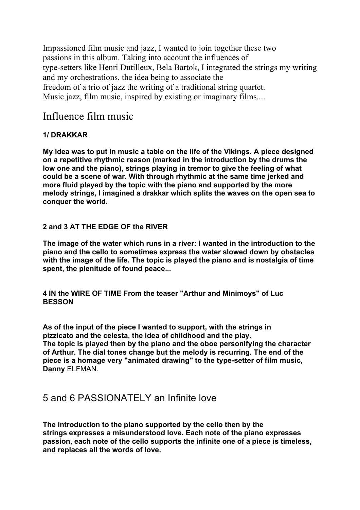Impassioned film music and jazz, I wanted to join together these two passions in this album. Taking into account the influences of type-setters like Henri Dutilleux, Bela Bartok, I integrated the strings my writing and my orchestrations, the idea being to associate the freedom of a trio of jazz the writing of a traditional string quartet. Music jazz, film music, inspired by existing or imaginary films....

# Influence film music

### **1/ DRAKKAR**

**My idea was to put in music a table on the life of the Vikings. A piece designed on a repetitive rhythmic reason (marked in the introduction by the drums the low one and the piano), strings playing in tremor to give the feeling of what could be a scene of war. With through rhythmic at the same time jerked and more fluid played by the topic with the piano and supported by the more melody strings, I imagined a drakkar which splits the waves on the open sea to conquer the world.**

### **2 and 3 AT THE EDGE OF the RIVER**

**The image of the water which runs in a river: I wanted in the introduction to the piano and the cello to sometimes express the water slowed down by obstacles with the image of the life. The topic is played the piano and is nostalgia of time spent, the plenitude of found peace...**

**4 IN the WIRE OF TIME From the teaser "Arthur and Minimoys" of Luc BESSON**

**As of the input of the piece I wanted to support, with the strings in pizzicato and the celesta, the idea of childhood and the play. The topic is played then by the piano and the oboe personifying the character of Arthur. The dial tones change but the melody is recurring. The end of the piece is a homage very "animated drawing" to the type-setter of film music, Danny** ELFMAN.

## 5 and 6 PASSIONATELY an Infinite love

**The introduction to the piano supported by the cello then by the strings expresses a misunderstood love. Each note of the piano expresses passion, each note of the cello supports the infinite one of a piece is timeless, and replaces all the words of love.**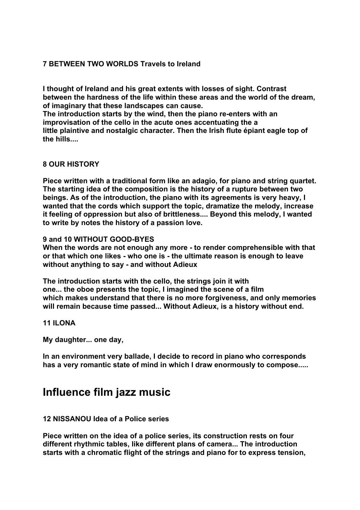### **7 BETWEEN TWO WORLDS Travels to Ireland**

**I thought of Ireland and his great extents with losses of sight. Contrast between the hardness of the life within these areas and the world of the dream, of imaginary that these landscapes can cause.**

**The introduction starts by the wind, then the piano re-enters with an improvisation of the cello in the acute ones accentuating the a little plaintive and nostalgic character. Then the Irish flute épiant eagle top of the hills....**

#### **8 OUR HISTORY**

**Piece written with a traditional form like an adagio, for piano and string quartet. The starting idea of the composition is the history of a rupture between two beings. As of the introduction, the piano with its agreements is very heavy, I wanted that the cords which support the topic, dramatize the melody, increase it feeling of oppression but also of brittleness.... Beyond this melody, I wanted to write by notes the history of a passion love.**

**9 and 10 WITHOUT GOOD-BYES**

**When the words are not enough any more - to render comprehensible with that or that which one likes - who one is - the ultimate reason is enough to leave without anything to say - and without Adieux**

**The introduction starts with the cello, the strings join it with one... the oboe presents the topic, I imagined the scene of a film which makes understand that there is no more forgiveness, and only memories will remain because time passed... Without Adieux, is a history without end.**

**11 ILONA**

**My daughter... one day,**

**In an environment very ballade, I decide to record in piano who corresponds has a very romantic state of mind in which I draw enormously to compose.....**

# **Influence film jazz music**

#### **12 NISSANOU Idea of a Police series**

**Piece written on the idea of a police series, its construction rests on four different rhythmic tables, like different plans of camera... The introduction starts with a chromatic flight of the strings and piano for to express tension,**